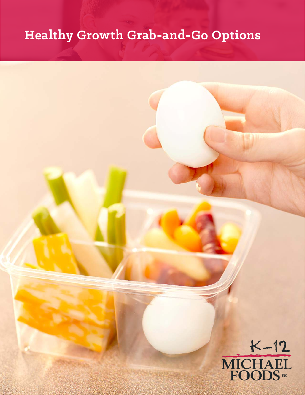# **Healthy Growth Grab-and-Go Options**

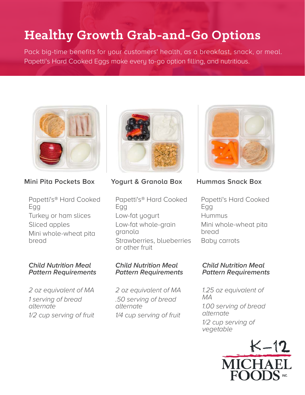# **Healthy Growth Grab-and-Go Options**

Pack big-time benefits for your customers' health, as a breakfast, snack, or meal. Papetti's Hard Cooked Eggs make every to-go option filling, and nutritious.



# **Mini Pita Pockets Box**

Papetti's® Hard Cooked Egg Turkey or ham slices Sliced apples Mini whole-wheat pita bread

#### **Child Nutrition Meal Pattern Requirements**

2 oz equivalent of MA 1 serving of bread alternate 1/2 cup serving of fruit



**Yogurt & Granola Box**

Papetti's® Hard Cooked Egg Low-fat yogurt Low-fat whole-grain granola Strawberries, blueberries or other fruit

#### **Child Nutrition Meal Pattern Requirements**

2 oz equivalent of MA .50 serving of bread alternate 1/4 cup serving of fruit



**Hummas Snack Box**

Papetti's Hard Cooked Egg Hummus Mini whole-wheat pita bread Baby carrots

#### **Child Nutrition Meal Pattern Requirements**

1.25 oz equivalent of MA 1.00 serving of bread alternate 1/2 cup serving of vegetable

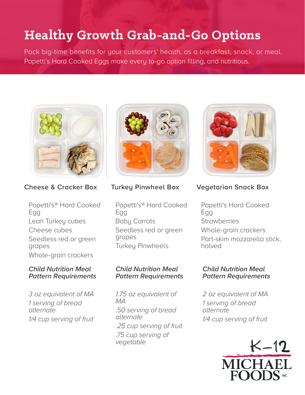# **Healthy Growth Grab-and-Go Options**

Pack big-time benefits for your customers' health, as a breakfast, snack, or meal. Papetti's Hard Cooked Eggs make every to-go option filling, and nutritious.



**Cheese & Cracker Box**

Papetti's® Hard Cooked Egg Lean Turkey cubes Cheese cubes Seedless red or green grapes Whole-grain crackers

#### **Child Nutrition Meal Pattern Requirements**

3 oz equivalent of MA 1 serving of bread alternate 1/4 cup serving of fruit



## **Turkey Pinwheel Box**

Papetti's® Hard Cooked Egg Baby Carrots Seedless red or green grapes Turkey Pinwheels

#### **Child Nutrition Meal Pattern Requirements**

1.75 oz equivalent of MA .50 serving of bread alternate .25 cup serving of fruit .75 cup serving of vegetable



# **Vegetarian Snack Box**

Papetti's Hard Cooked Egg **Strawberries** Whole-grain crackers Part-skim mozzarella stick, halved

#### **Child Nutrition Meal Pattern Requirements**

2 oz equivalent of MA 1 serving of bread alternate 1/4 cup serving of fruit

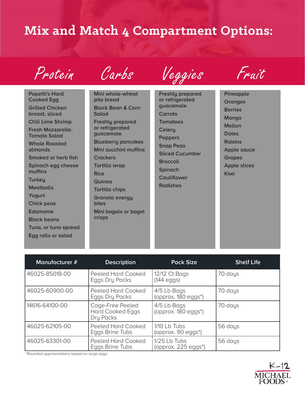# **Mix and Match 4 Compartment Options:**



**Papetti's Hard Cooked Egg Grilled Chicken breast, sliced Chili Lime Shrimp Fresh Mozzarella-Tomato Salad Whole Roasted almonds Smoked or herb fish Spinach egg cheese muffins Turkey Meatballs Yogurt Chick peas Edamame Black beans Tuna, or tuna spread**

**Egg rolls or salad**

Carbs

**Mini whole-wheat pita bread Black Bean & Corn Salad Freshly prepared or refrigerated guacamole Blueberry pancakes Mini zucchini muffins Crackers Tortilla wrap Rice Quinoa Tortilla chips Granola energy bites Mini bagels or bagel crisps**



**Freshly prepared or refrigerated guacamole Carrots Tomatoes Celery Peppers Snap Peas Sliced Cucumber Broccoli Spinach Cauliflower Radishes**



**Pineapple Oranges Berries Mango Mellon Dates Raisins Apple sauce Grapes Apple slices Kiwi**

| Manufacturer # | <b>Description</b>                                       | <b>Pack Size</b>                                         | <b>Shelf Life</b> |
|----------------|----------------------------------------------------------|----------------------------------------------------------|-------------------|
| 46025-85018-00 | Peeled Hard Cooked<br>Eggs Dry Packs                     | 12/12 Ct Bags<br>$(144 \text{ eggs})$                    | 70 days           |
| 46025-60900-00 | Peeled Hard Cooked<br>Eggs Dry Packs                     | 4/5 Lb Bags<br>(approx. 180 eggs*)                       | 70 days           |
| 14616-64100-00 | Cage-Free Peeled<br><b>Hard Cooked Eggs</b><br>Dry Packs | 4/5 Lb Bags<br>$\langle$ approx. 180 eggs <sup>*</sup> ) | 70 days           |
| 46025-62105-00 | Peeled Hard Cooked<br>Eggs Brine Tubs                    | 1/10 Lb Tubs<br>(approx. 90 eggs <sup>*</sup> )          | 56 days           |
| 46025-63301-00 | Peeled Hard Cooked<br>Eggs Brine Tubs                    | 1/25 Lb Tubs<br>(approx. $225$ eggs <sup>*</sup> )       | 56 days           |

\*Rounded approximations based on large eggs

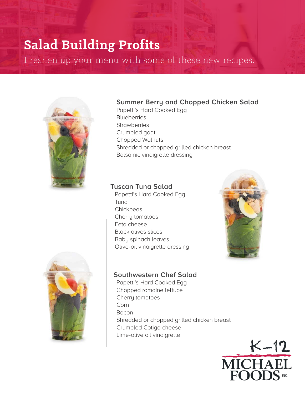# **Salad Building Profits**

Freshen up your menu with some of these new recipes.



# **Summer Berry and Chopped Chicken Salad**

Papetti's Hard Cooked Egg **Blueberries Strawberries** Crumbled goat Chopped Walnuts Shredded or chopped grilled chicken breast Balsamic vinaigrette dressing

### **Tuscan Tuna Salad**

Papetti's Hard Cooked Egg Tuna **Chickpeas** Cherry tomatoes Feta cheese Black olives slices Baby spinach leaves Olive-oil vinaigrette dressing





### **Southwestern Chef Salad**

Papetti's Hard Cooked Egg Chopped romaine lettuce Cherry tomatoes Corn Bacon Shredded or chopped grilled chicken breast Crumbled Cotiga cheese Lime-olive oil vinaigrette